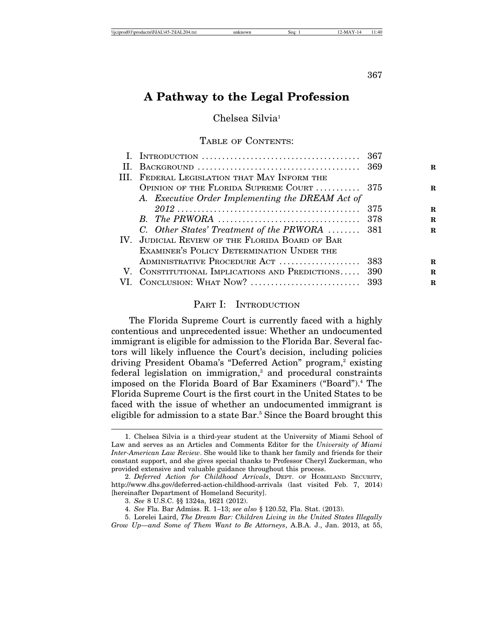#### 367

# **A Pathway to the Legal Profession**

Chelsea Silvia<sup>1</sup>

#### TABLE OF CONTENTS:

|     |                                                  | 367 |    |
|-----|--------------------------------------------------|-----|----|
| H.  |                                                  |     | R. |
| HL. | FEDERAL LEGISLATION THAT MAY INFORM THE          |     |    |
|     | OPINION OF THE FLORIDA SUPREME COURT  375        |     | R. |
|     | A. Executive Order Implementing the DREAM Act of |     |    |
|     |                                                  | 375 | R. |
|     |                                                  | 378 | R. |
|     | C. Other States' Treatment of the PRWORA  381    |     | R. |
|     | IV. JUDICIAL REVIEW OF THE FLORIDA BOARD OF BAR  |     |    |
|     | EXAMINER'S POLICY DETERMINATION UNDER THE        |     |    |
|     | ADMINISTRATIVE PROCEDURE ACT  383                |     | R. |
|     | V. CONSTITUTIONAL IMPLICATIONS AND PREDICTIONS   | 390 | R. |
|     | VI. CONCLUSION: WHAT NOW?                        | 393 | R. |

### PART I: INTRODUCTION

The Florida Supreme Court is currently faced with a highly contentious and unprecedented issue: Whether an undocumented immigrant is eligible for admission to the Florida Bar. Several factors will likely influence the Court's decision, including policies driving President Obama's "Deferred Action" program,<sup>2</sup> existing federal legislation on immigration,<sup>3</sup> and procedural constraints imposed on the Florida Board of Bar Examiners ("Board").<sup>4</sup> The Florida Supreme Court is the first court in the United States to be faced with the issue of whether an undocumented immigrant is eligible for admission to a state Bar.<sup>5</sup> Since the Board brought this

<sup>1.</sup> Chelsea Silvia is a third-year student at the University of Miami School of Law and serves as an Articles and Comments Editor for the *University of Miami Inter-American Law Review*. She would like to thank her family and friends for their constant support, and she gives special thanks to Professor Cheryl Zuckerman, who provided extensive and valuable guidance throughout this process.

<sup>2.</sup> *Deferred Action for Childhood Arrivals*, DEPT. OF HOMELAND SECURITY, http://www.dhs.gov/deferred-action-childhood-arrivals (last visited Feb. 7, 2014) [hereinafter Department of Homeland Security].

<sup>3.</sup> *See* 8 U.S.C. §§ 1324a, 1621 (2012).

<sup>4.</sup> *See* Fla. Bar Admiss. R. 1–13; *see also* § 120.52, Fla. Stat. (2013).

<sup>5.</sup> Lorelei Laird, *The Dream Bar: Children Living in the United States Illegally Grow Up—and Some of Them Want to Be Attorneys*, A.B.A. J., Jan. 2013, at 55,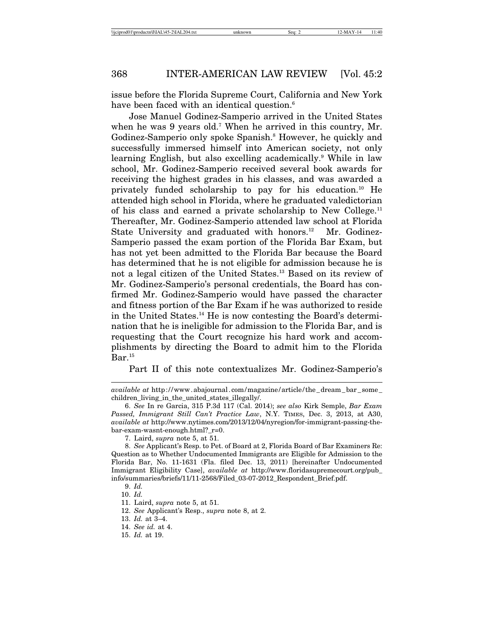issue before the Florida Supreme Court, California and New York have been faced with an identical question.<sup>6</sup>

Jose Manuel Godinez-Samperio arrived in the United States when he was 9 years old.7 When he arrived in this country, Mr. Godinez-Samperio only spoke Spanish.<sup>8</sup> However, he quickly and successfully immersed himself into American society, not only learning English, but also excelling academically.9 While in law school, Mr. Godinez-Samperio received several book awards for receiving the highest grades in his classes, and was awarded a privately funded scholarship to pay for his education.10 He attended high school in Florida, where he graduated valedictorian of his class and earned a private scholarship to New College.<sup>11</sup> Thereafter, Mr. Godinez-Samperio attended law school at Florida State University and graduated with honors.<sup>12</sup> Mr. Godinez-Samperio passed the exam portion of the Florida Bar Exam, but has not yet been admitted to the Florida Bar because the Board has determined that he is not eligible for admission because he is not a legal citizen of the United States.13 Based on its review of Mr. Godinez-Samperio's personal credentials, the Board has confirmed Mr. Godinez-Samperio would have passed the character and fitness portion of the Bar Exam if he was authorized to reside in the United States.14 He is now contesting the Board's determination that he is ineligible for admission to the Florida Bar, and is requesting that the Court recognize his hard work and accomplishments by directing the Board to admit him to the Florida  $Bar.^{15}$ 

Part II of this note contextualizes Mr. Godinez-Samperio's

*available at* http://www.abajournal.com/magazine/article/the\_dream\_bar\_some\_ children\_living\_in\_the\_united\_states\_illegally/.

<sup>6.</sup> *See* In re Garcia, 315 P.3d 117 (Cal. 2014); *see also* Kirk Semple, *Bar Exam Passed, Immigrant Still Can't Practice Law*, N.Y. TIMES, Dec. 3, 2013, at A30, *available at* http://www.nytimes.com/2013/12/04/nyregion/for-immigrant-passing-thebar-exam-wasnt-enough.html?\_r=0.

<sup>7.</sup> Laird, *supra* note 5, at 51.

<sup>8.</sup> *See* Applicant's Resp. to Pet. of Board at 2, Florida Board of Bar Examiners Re: Question as to Whether Undocumented Immigrants are Eligible for Admission to the Florida Bar, No. 11-1631 (Fla. filed Dec. 13, 2011) [hereinafter Undocumented Immigrant Eligibility Case], *available at* http://www.floridasupremecourt.org/pub\_ info/summaries/briefs/11/11-2568/Filed\_03-07-2012\_Respondent\_Brief.pdf.

<sup>9.</sup> *Id.* 10. *Id.*

<sup>11.</sup> Laird, *supra* note 5, at 51.

<sup>12.</sup> *See* Applicant's Resp., *supra* note 8, at 2.

<sup>13.</sup> *Id.* at 3–4.

<sup>14.</sup> *See id.* at 4.

<sup>15.</sup> *Id.* at 19.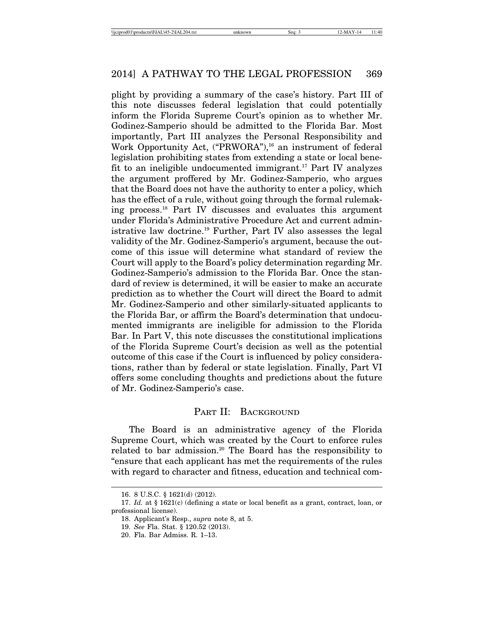plight by providing a summary of the case's history. Part III of this note discusses federal legislation that could potentially inform the Florida Supreme Court's opinion as to whether Mr. Godinez-Samperio should be admitted to the Florida Bar. Most importantly, Part III analyzes the Personal Responsibility and Work Opportunity Act, ("PRWORA"),<sup>16</sup> an instrument of federal legislation prohibiting states from extending a state or local benefit to an ineligible undocumented immigrant.17 Part IV analyzes the argument proffered by Mr. Godinez-Samperio, who argues that the Board does not have the authority to enter a policy, which has the effect of a rule, without going through the formal rulemaking process.18 Part IV discusses and evaluates this argument under Florida's Administrative Procedure Act and current administrative law doctrine.19 Further, Part IV also assesses the legal validity of the Mr. Godinez-Samperio's argument, because the outcome of this issue will determine what standard of review the Court will apply to the Board's policy determination regarding Mr. Godinez-Samperio's admission to the Florida Bar. Once the standard of review is determined, it will be easier to make an accurate prediction as to whether the Court will direct the Board to admit Mr. Godinez-Samperio and other similarly-situated applicants to the Florida Bar, or affirm the Board's determination that undocumented immigrants are ineligible for admission to the Florida Bar. In Part V, this note discusses the constitutional implications of the Florida Supreme Court's decision as well as the potential outcome of this case if the Court is influenced by policy considerations, rather than by federal or state legislation. Finally, Part VI offers some concluding thoughts and predictions about the future of Mr. Godinez-Samperio's case.

# PART II: BACKGROUND

The Board is an administrative agency of the Florida Supreme Court, which was created by the Court to enforce rules related to bar admission.<sup>20</sup> The Board has the responsibility to "ensure that each applicant has met the requirements of the rules with regard to character and fitness, education and technical com-

<sup>16. 8</sup> U.S.C. § 1621(d) (2012).

<sup>17.</sup> *Id.* at § 1621(c) (defining a state or local benefit as a grant, contract, loan, or professional license).

<sup>18.</sup> Applicant's Resp., *supra* note 8, at 5.

<sup>19.</sup> *See* Fla. Stat. § 120.52 (2013).

<sup>20.</sup> Fla. Bar Admiss. R. 1–13.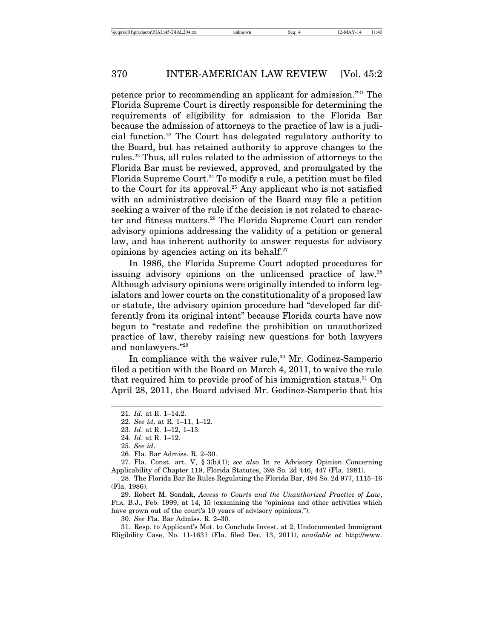petence prior to recommending an applicant for admission."21 The Florida Supreme Court is directly responsible for determining the requirements of eligibility for admission to the Florida Bar because the admission of attorneys to the practice of law is a judicial function.22 The Court has delegated regulatory authority to the Board, but has retained authority to approve changes to the rules.23 Thus, all rules related to the admission of attorneys to the Florida Bar must be reviewed, approved, and promulgated by the Florida Supreme Court.<sup>24</sup> To modify a rule, a petition must be filed to the Court for its approval.<sup>25</sup> Any applicant who is not satisfied with an administrative decision of the Board may file a petition seeking a waiver of the rule if the decision is not related to character and fitness matters.26 The Florida Supreme Court can render advisory opinions addressing the validity of a petition or general law, and has inherent authority to answer requests for advisory opinions by agencies acting on its behalf. $27$ 

In 1986, the Florida Supreme Court adopted procedures for issuing advisory opinions on the unlicensed practice of law.28 Although advisory opinions were originally intended to inform legislators and lower courts on the constitutionality of a proposed law or statute, the advisory opinion procedure had "developed far differently from its original intent" because Florida courts have now begun to "restate and redefine the prohibition on unauthorized practice of law, thereby raising new questions for both lawyers and nonlawyers."29

In compliance with the waiver rule,<sup>30</sup> Mr. Godinez-Samperio filed a petition with the Board on March 4, 2011, to waive the rule that required him to provide proof of his immigration status.<sup>31</sup> On April 28, 2011, the Board advised Mr. Godinez-Samperio that his

29. Robert M. Sondak, *Access to Courts and the Unauthorized Practice of Law*, FLA. B.J., Feb. 1999, at 14, 15 (examining the "opinions and other activities which have grown out of the court's 10 years of advisory opinions.").

30. *See* Fla. Bar Admiss. R. 2–30.

31. Resp. to Applicant's Mot. to Conclude Invest. at 2, Undocumented Immigrant Eligibility Case, No. 11-1631 (Fla. filed Dec. 13, 2011), *available at* http://www.

<sup>21.</sup> *Id.* at R. 1–14.2.

<sup>22.</sup> *See id*. at R. 1–11, 1–12.

<sup>23.</sup> *Id*. at R. 1–12, 1–13.

<sup>24.</sup> *Id*. at R. 1–12.

<sup>25.</sup> *See id*.

<sup>26.</sup> Fla. Bar Admiss. R. 2–30.

<sup>27.</sup> Fla. Const. art. V, § 3(b)(1); *see also* In re Advisory Opinion Concerning Applicability of Chapter 119, Florida Statutes, 398 So. 2d 446, 447 (Fla. 1981).

<sup>28.</sup> The Florida Bar Re Rules Regulating the Florida Bar, 494 So. 2d 977, 1115–16 (Fla. 1986).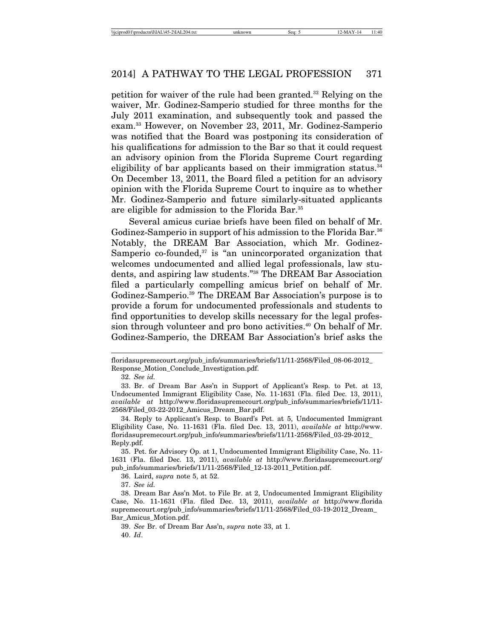petition for waiver of the rule had been granted.32 Relying on the waiver, Mr. Godinez-Samperio studied for three months for the July 2011 examination, and subsequently took and passed the exam.33 However, on November 23, 2011, Mr. Godinez-Samperio was notified that the Board was postponing its consideration of his qualifications for admission to the Bar so that it could request an advisory opinion from the Florida Supreme Court regarding eligibility of bar applicants based on their immigration status.<sup>34</sup> On December 13, 2011, the Board filed a petition for an advisory opinion with the Florida Supreme Court to inquire as to whether Mr. Godinez-Samperio and future similarly-situated applicants are eligible for admission to the Florida Bar.35

Several amicus curiae briefs have been filed on behalf of Mr. Godinez-Samperio in support of his admission to the Florida Bar.<sup>36</sup> Notably, the DREAM Bar Association, which Mr. Godinez-Samperio co-founded, $37$  is "an unincorporated organization that welcomes undocumented and allied legal professionals, law students, and aspiring law students."38 The DREAM Bar Association filed a particularly compelling amicus brief on behalf of Mr. Godinez-Samperio.39 The DREAM Bar Association's purpose is to provide a forum for undocumented professionals and students to find opportunities to develop skills necessary for the legal profession through volunteer and pro bono activities.<sup>40</sup> On behalf of Mr. Godinez-Samperio, the DREAM Bar Association's brief asks the

36. Laird, *supra* note 5, at 52.

37. *See id.*

39. *See* Br. of Dream Bar Ass'n, *supra* note 33, at 1. 40. *Id*.

floridasupremecourt.org/pub\_info/summaries/briefs/11/11-2568/Filed\_08-06-2012\_ Response\_Motion\_Conclude\_Investigation.pdf.

<sup>32.</sup> *See id.*

<sup>33.</sup> Br. of Dream Bar Ass'n in Support of Applicant's Resp. to Pet. at 13, Undocumented Immigrant Eligibility Case, No. 11-1631 (Fla. filed Dec. 13, 2011), *available at* http://www.floridasupremecourt.org/pub\_info/summaries/briefs/11/11- 2568/Filed\_03-22-2012\_Amicus\_Dream\_Bar.pdf.

<sup>34.</sup> Reply to Applicant's Resp. to Board's Pet. at 5, Undocumented Immigrant Eligibility Case, No. 11-1631 (Fla. filed Dec. 13, 2011), *available at* http://www. floridasupremecourt.org/pub\_info/summaries/briefs/11/11-2568/Filed\_03-29-2012\_ Reply.pdf.

<sup>35.</sup> Pet. for Advisory Op. at 1, Undocumented Immigrant Eligibility Case, No. 11- 1631 (Fla. filed Dec. 13, 2011), *available at* http://www.floridasupremecourt.org/ pub\_info/summaries/briefs/11/11-2568/Filed\_12-13-2011\_Petition.pdf.

<sup>38.</sup> Dream Bar Ass'n Mot. to File Br. at 2, Undocumented Immigrant Eligibility Case, No. 11-1631 (Fla. filed Dec. 13, 2011), *available at* http://www.florida supremecourt.org/pub\_info/summaries/briefs/11/11-2568/Filed\_03-19-2012\_Dream\_ Bar\_Amicus\_Motion.pdf.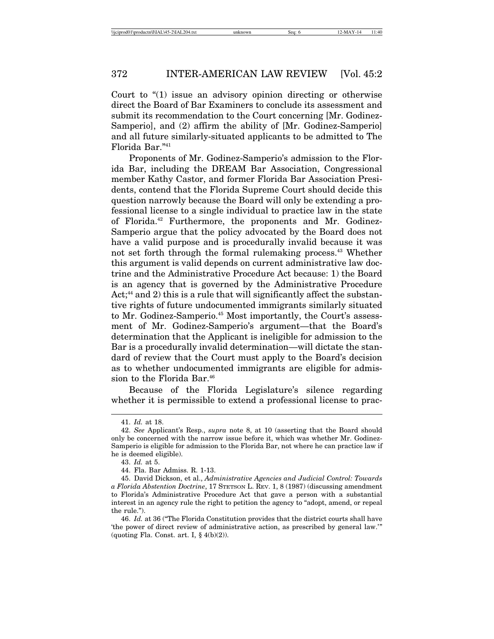Court to "(1) issue an advisory opinion directing or otherwise direct the Board of Bar Examiners to conclude its assessment and submit its recommendation to the Court concerning [Mr. Godinez-Samperio], and (2) affirm the ability of [Mr. Godinez-Samperio] and all future similarly-situated applicants to be admitted to The Florida Bar."41

Proponents of Mr. Godinez-Samperio's admission to the Florida Bar, including the DREAM Bar Association, Congressional member Kathy Castor, and former Florida Bar Association Presidents, contend that the Florida Supreme Court should decide this question narrowly because the Board will only be extending a professional license to a single individual to practice law in the state of Florida.42 Furthermore, the proponents and Mr. Godinez-Samperio argue that the policy advocated by the Board does not have a valid purpose and is procedurally invalid because it was not set forth through the formal rulemaking process.<sup>43</sup> Whether this argument is valid depends on current administrative law doctrine and the Administrative Procedure Act because: 1) the Board is an agency that is governed by the Administrative Procedure Act; $44$  and 2) this is a rule that will significantly affect the substantive rights of future undocumented immigrants similarly situated to Mr. Godinez-Samperio.<sup>45</sup> Most importantly, the Court's assessment of Mr. Godinez-Samperio's argument—that the Board's determination that the Applicant is ineligible for admission to the Bar is a procedurally invalid determination—will dictate the standard of review that the Court must apply to the Board's decision as to whether undocumented immigrants are eligible for admission to the Florida Bar.<sup>46</sup>

Because of the Florida Legislature's silence regarding whether it is permissible to extend a professional license to prac-

<sup>41.</sup> *Id.* at 18.

<sup>42.</sup> *See* Applicant's Resp., *supra* note 8, at 10 (asserting that the Board should only be concerned with the narrow issue before it, which was whether Mr. Godinez-Samperio is eligible for admission to the Florida Bar, not where he can practice law if he is deemed eligible).

<sup>43.</sup> *Id.* at 5.

<sup>44.</sup> Fla. Bar Admiss. R. 1-13.

<sup>45.</sup> David Dickson, et al., *Administrative Agencies and Judicial Control: Towards a Florida Abstention Doctrine*, 17 STETSON L. REV. 1, 8 (1987) (discussing amendment to Florida's Administrative Procedure Act that gave a person with a substantial interest in an agency rule the right to petition the agency to "adopt, amend, or repeal the rule.").

<sup>46.</sup> *Id.* at 36 ("The Florida Constitution provides that the district courts shall have 'the power of direct review of administrative action, as prescribed by general law.'" (quoting Fla. Const. art. I,  $\S$  4(b)(2)).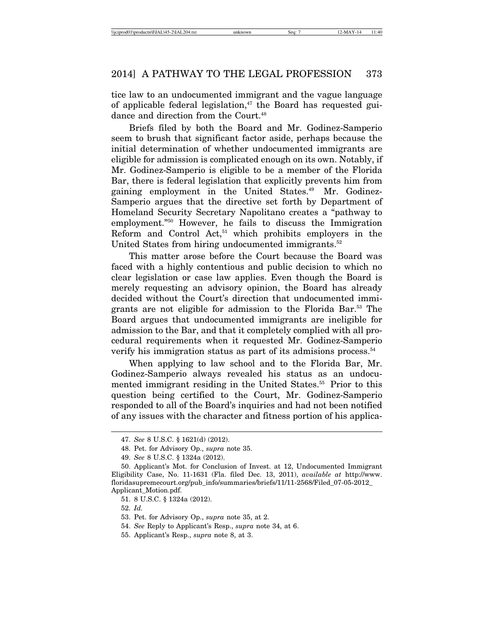tice law to an undocumented immigrant and the vague language of applicable federal legislation, $47$  the Board has requested guidance and direction from the Court.<sup>48</sup>

Briefs filed by both the Board and Mr. Godinez-Samperio seem to brush that significant factor aside, perhaps because the initial determination of whether undocumented immigrants are eligible for admission is complicated enough on its own. Notably, if Mr. Godinez-Samperio is eligible to be a member of the Florida Bar, there is federal legislation that explicitly prevents him from gaining employment in the United States.<sup>49</sup> Mr. Godinez-Samperio argues that the directive set forth by Department of Homeland Security Secretary Napolitano creates a "pathway to employment."50 However, he fails to discuss the Immigration Reform and Control Act, $51$  which prohibits employers in the United States from hiring undocumented immigrants.<sup>52</sup>

This matter arose before the Court because the Board was faced with a highly contentious and public decision to which no clear legislation or case law applies. Even though the Board is merely requesting an advisory opinion, the Board has already decided without the Court's direction that undocumented immigrants are not eligible for admission to the Florida Bar.53 The Board argues that undocumented immigrants are ineligible for admission to the Bar, and that it completely complied with all procedural requirements when it requested Mr. Godinez-Samperio verify his immigration status as part of its admisions process.<sup>54</sup>

When applying to law school and to the Florida Bar, Mr. Godinez-Samperio always revealed his status as an undocumented immigrant residing in the United States.<sup>55</sup> Prior to this question being certified to the Court, Mr. Godinez-Samperio responded to all of the Board's inquiries and had not been notified of any issues with the character and fitness portion of his applica-

<sup>47.</sup> *See* 8 U.S.C. § 1621(d) (2012).

<sup>48.</sup> Pet. for Advisory Op., *supra* note 35.

<sup>49.</sup> *See* 8 U.S.C. § 1324a (2012).

<sup>50.</sup> Applicant's Mot. for Conclusion of Invest. at 12, Undocumented Immigrant Eligibility Case, No. 11-1631 (Fla. filed Dec. 13, 2011), *available at* http://www. floridasupremecourt.org/pub\_info/summaries/briefs/11/11-2568/Filed\_07-05-2012\_ Applicant\_Motion.pdf.

<sup>51. 8</sup> U.S.C. § 1324a (2012).

<sup>52.</sup> *Id.*

<sup>53.</sup> Pet. for Advisory Op., *supra* note 35, at 2.

<sup>54.</sup> *See* Reply to Applicant's Resp., *supra* note 34, at 6.

<sup>55.</sup> Applicant's Resp., *supra* note 8, at 3.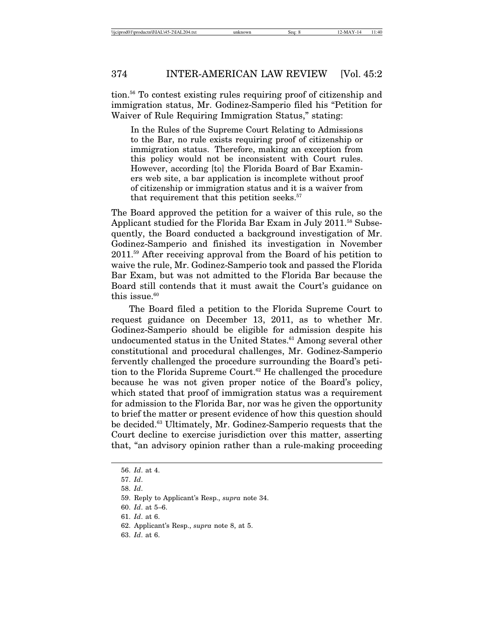tion.56 To contest existing rules requiring proof of citizenship and immigration status, Mr. Godinez-Samperio filed his "Petition for Waiver of Rule Requiring Immigration Status," stating:

In the Rules of the Supreme Court Relating to Admissions to the Bar, no rule exists requiring proof of citizenship or immigration status. Therefore, making an exception from this policy would not be inconsistent with Court rules. However, according [to] the Florida Board of Bar Examiners web site, a bar application is incomplete without proof of citizenship or immigration status and it is a waiver from that requirement that this petition seeks.<sup>57</sup>

The Board approved the petition for a waiver of this rule, so the Applicant studied for the Florida Bar Exam in July 2011.<sup>58</sup> Subsequently, the Board conducted a background investigation of Mr. Godinez-Samperio and finished its investigation in November 2011.59 After receiving approval from the Board of his petition to waive the rule, Mr. Godinez-Samperio took and passed the Florida Bar Exam, but was not admitted to the Florida Bar because the Board still contends that it must await the Court's guidance on this issue. $60$ 

The Board filed a petition to the Florida Supreme Court to request guidance on December 13, 2011, as to whether Mr. Godinez-Samperio should be eligible for admission despite his undocumented status in the United States.<sup>61</sup> Among several other constitutional and procedural challenges, Mr. Godinez-Samperio fervently challenged the procedure surrounding the Board's petition to the Florida Supreme Court.<sup>62</sup> He challenged the procedure because he was not given proper notice of the Board's policy, which stated that proof of immigration status was a requirement for admission to the Florida Bar, nor was he given the opportunity to brief the matter or present evidence of how this question should be decided.63 Ultimately, Mr. Godinez-Samperio requests that the Court decline to exercise jurisdiction over this matter, asserting that, "an advisory opinion rather than a rule-making proceeding

<sup>56.</sup> *Id*. at 4.

<sup>57.</sup> *Id*.

<sup>58.</sup> *Id*.

<sup>59.</sup> Reply to Applicant's Resp., *supra* note 34.

<sup>60.</sup> *Id*. at 5–6.

<sup>61.</sup> *Id*. at 6.

<sup>62.</sup> Applicant's Resp., *supra* note 8, at 5.

<sup>63.</sup> *Id*. at 6.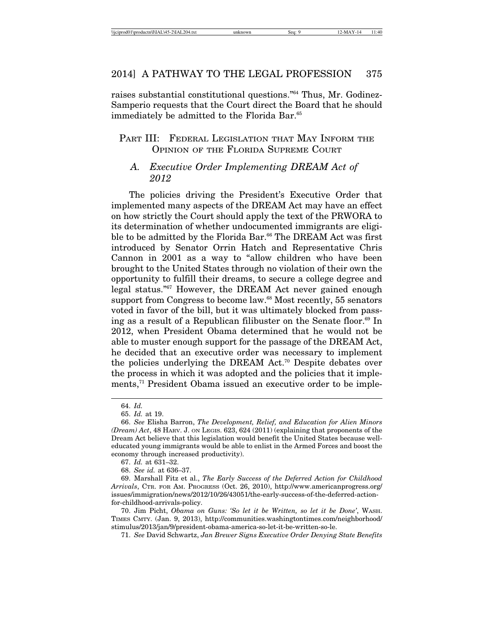raises substantial constitutional questions."64 Thus, Mr. Godinez-Samperio requests that the Court direct the Board that he should immediately be admitted to the Florida Bar.<sup>65</sup>

# PART III: FEDERAL LEGISLATION THAT MAY INFORM THE OPINION OF THE FLORIDA SUPREME COURT

# *A. Executive Order Implementing DREAM Act of 2012*

The policies driving the President's Executive Order that implemented many aspects of the DREAM Act may have an effect on how strictly the Court should apply the text of the PRWORA to its determination of whether undocumented immigrants are eligible to be admitted by the Florida Bar.<sup>66</sup> The DREAM Act was first introduced by Senator Orrin Hatch and Representative Chris Cannon in 2001 as a way to "allow children who have been brought to the United States through no violation of their own the opportunity to fulfill their dreams, to secure a college degree and legal status."67 However, the DREAM Act never gained enough support from Congress to become law.<sup>68</sup> Most recently, 55 senators voted in favor of the bill, but it was ultimately blocked from passing as a result of a Republican filibuster on the Senate floor.<sup>69</sup> In 2012, when President Obama determined that he would not be able to muster enough support for the passage of the DREAM Act, he decided that an executive order was necessary to implement the policies underlying the DREAM Act.70 Despite debates over the process in which it was adopted and the policies that it implements,<sup>71</sup> President Obama issued an executive order to be imple-

<sup>64.</sup> *Id.*

<sup>65.</sup> *Id.* at 19.

<sup>66.</sup> *See* Elisha Barron, *The Development, Relief, and Education for Alien Minors (Dream) Act*, 48 HARV. J. ON LEGIS. 623, 624 (2011) (explaining that proponents of the Dream Act believe that this legislation would benefit the United States because welleducated young immigrants would be able to enlist in the Armed Forces and boost the economy through increased productivity).

<sup>67.</sup> *Id.* at 631–32.

<sup>68.</sup> *See id.* at 636–37.

<sup>69.</sup> Marshall Fitz et al., *The Early Success of the Deferred Action for Childhood Arrivals*, CTR. FOR AM. PROGRESS (Oct. 26, 2010), http://www.americanprogress.org/ issues/immigration/news/2012/10/26/43051/the-early-success-of-the-deferred-actionfor-childhood-arrivals-policy.

<sup>70.</sup> Jim Picht, *Obama on Guns: 'So let it be Written, so let it be Done'*, WASH. TIMES CMTY. (Jan. 9, 2013), http://communities.washingtontimes.com/neighborhood/ stimulus/2013/jan/9/president-obama-america-so-let-it-be-written-so-le.

<sup>71.</sup> *See* David Schwartz, *Jan Brewer Signs Executive Order Denying State Benefits*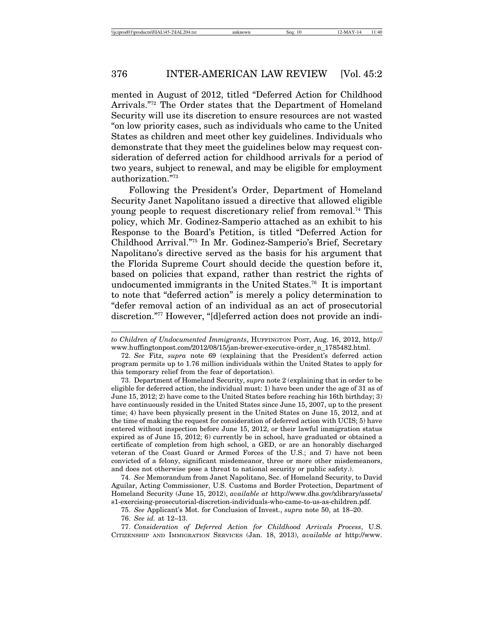mented in August of 2012, titled "Deferred Action for Childhood Arrivals."72 The Order states that the Department of Homeland Security will use its discretion to ensure resources are not wasted "on low priority cases, such as individuals who came to the United States as children and meet other key guidelines. Individuals who demonstrate that they meet the guidelines below may request consideration of deferred action for childhood arrivals for a period of two years, subject to renewal, and may be eligible for employment authorization."73

Following the President's Order, Department of Homeland Security Janet Napolitano issued a directive that allowed eligible young people to request discretionary relief from removal.<sup>74</sup> This policy, which Mr. Godinez-Samperio attached as an exhibit to his Response to the Board's Petition, is titled "Deferred Action for Childhood Arrival."75 In Mr. Godinez-Samperio's Brief, Secretary Napolitano's directive served as the basis for his argument that the Florida Supreme Court should decide the question before it, based on policies that expand, rather than restrict the rights of undocumented immigrants in the United States.<sup>76</sup> It is important to note that "deferred action" is merely a policy determination to "defer removal action of an individual as an act of prosecutorial discretion."77 However, "[d]eferred action does not provide an indi-

73. Department of Homeland Security, *supra* note 2 (explaining that in order to be eligible for deferred action, the individual must: 1) have been under the age of 31 as of June 15, 2012; 2) have come to the United States before reaching his 16th birthday; 3) have continuously resided in the United States since June 15, 2007, up to the present time; 4) have been physically present in the United States on June 15, 2012, and at the time of making the request for consideration of deferred action with UCIS; 5) have entered without inspection before June 15, 2012, or their lawful immigration status expired as of June 15, 2012; 6) currently be in school, have graduated or obtained a certificate of completion from high school, a GED, or are an honorably discharged veteran of the Coast Guard or Armed Forces of the U.S.; and 7) have not been convicted of a felony, significant misdemeanor, three or more other misdemeanors, and does not otherwise pose a threat to national security or public safety.).

74. *See* Memorandum from Janet Napolitano, Sec. of Homeland Security, to David Aguilar, Acting Commissioner, U.S. Customs and Border Protection, Department of Homeland Security (June 15, 2012), *available at* http://www.dhs.gov/xlibrary/assets/ s1-exercising-prosecutorial-discretion-individuals-who-came-to-us-as-children.pdf.

*to Children of Undocumented Immigrants*, HUFFINGTON POST, Aug. 16, 2012, http:// www.huffingtonpost.com/2012/08/15/jan-brewer-executive-order\_n\_1785482.html.

<sup>72.</sup> *See* Fitz, *supra* note 69 (explaining that the President's deferred action program permits up to 1.76 million individuals within the United States to apply for this temporary relief from the fear of deportation).

<sup>75.</sup> *See* Applicant's Mot. for Conclusion of Invest., *supra* note 50, at 18–20.

<sup>76.</sup> *See id.* at 12–13.

<sup>77.</sup> *Consideration of Deferred Action for Childhood Arrivals Process*, U.S. CITIZENSHIP AND IMMIGRATION SERVICES (Jan. 18, 2013), *available at* http://www.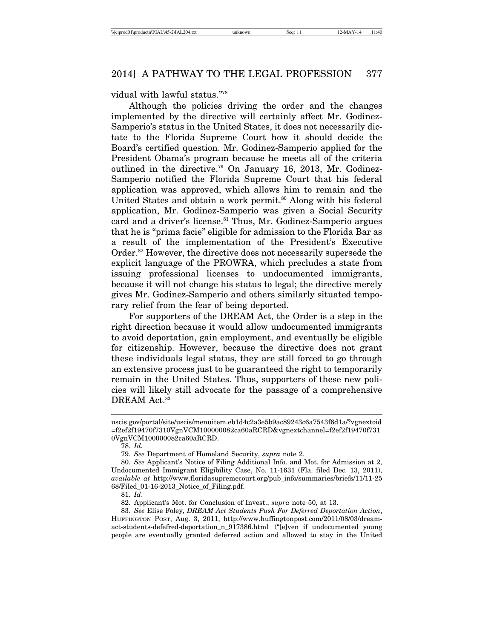#### vidual with lawful status."78

Although the policies driving the order and the changes implemented by the directive will certainly affect Mr. Godinez-Samperio's status in the United States, it does not necessarily dictate to the Florida Supreme Court how it should decide the Board's certified question. Mr. Godinez-Samperio applied for the President Obama's program because he meets all of the criteria outlined in the directive.79 On January 16, 2013, Mr. Godinez-Samperio notified the Florida Supreme Court that his federal application was approved, which allows him to remain and the United States and obtain a work permit.<sup>80</sup> Along with his federal application, Mr. Godinez-Samperio was given a Social Security card and a driver's license.<sup>81</sup> Thus, Mr. Godinez-Samperio argues that he is "prima facie" eligible for admission to the Florida Bar as a result of the implementation of the President's Executive Order.82 However, the directive does not necessarily supersede the explicit language of the PROWRA, which precludes a state from issuing professional licenses to undocumented immigrants, because it will not change his status to legal; the directive merely gives Mr. Godinez-Samperio and others similarly situated temporary relief from the fear of being deported.

For supporters of the DREAM Act, the Order is a step in the right direction because it would allow undocumented immigrants to avoid deportation, gain employment, and eventually be eligible for citizenship. However, because the directive does not grant these individuals legal status, they are still forced to go through an extensive process just to be guaranteed the right to temporarily remain in the United States. Thus, supporters of these new policies will likely still advocate for the passage of a comprehensive DREAM Act.<sup>83</sup>

uscis.gov/portal/site/uscis/menuitem.eb1d4c2a3e5b9ac89243c6a7543f6d1a/?vgnextoid =f2ef2f19470f7310VgnVCM100000082ca60aRCRD&vgnextchannel=f2ef2f19470f731 0VgnVCM100000082ca60aRCRD.

<sup>78.</sup> *Id.*

<sup>79.</sup> *See* Department of Homeland Security, *supra* note 2.

<sup>80.</sup> *See* Applicant's Notice of Filing Additional Info. and Mot. for Admission at 2, Undocumented Immigrant Eligibility Case, No. 11-1631 (Fla. filed Dec. 13, 2011), *available at* http://www.floridasupremecourt.org/pub\_info/summaries/briefs/11/11-25 68/Filed\_01-16-2013\_Notice\_of\_Filing.pdf.

<sup>81.</sup> *Id*.

<sup>82.</sup> Applicant's Mot. for Conclusion of Invest., *supra* note 50, at 13.

<sup>83.</sup> *See* Elise Foley, *DREAM Act Students Push For Deferred Deportation Action*, HUFFINGTON POST, Aug. 3, 2011, http://www.huffingtonpost.com/2011/08/03/dreamact-students-defefred-deportation\_n\_917386.html ("[e]ven if undocumented young people are eventually granted deferred action and allowed to stay in the United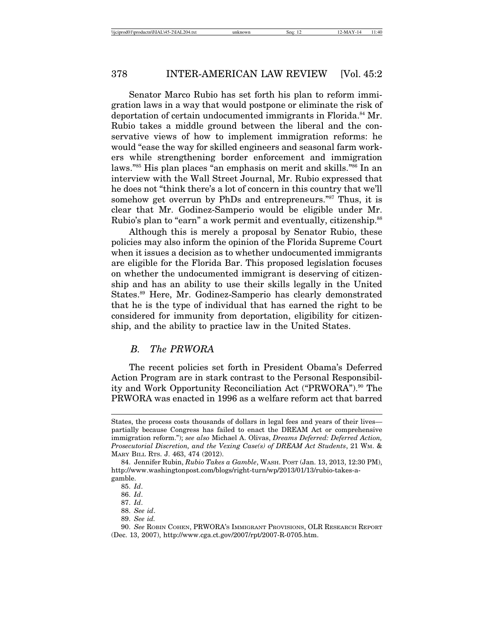Senator Marco Rubio has set forth his plan to reform immigration laws in a way that would postpone or eliminate the risk of deportation of certain undocumented immigrants in Florida.<sup>84</sup> Mr. Rubio takes a middle ground between the liberal and the conservative views of how to implement immigration reforms: he would "ease the way for skilled engineers and seasonal farm workers while strengthening border enforcement and immigration laws."85 His plan places "an emphasis on merit and skills."86 In an interview with the Wall Street Journal, Mr. Rubio expressed that he does not "think there's a lot of concern in this country that we'll somehow get overrun by PhDs and entrepreneurs."<sup>87</sup> Thus, it is clear that Mr. Godinez-Samperio would be eligible under Mr. Rubio's plan to "earn" a work permit and eventually, citizenship.<sup>88</sup>

Although this is merely a proposal by Senator Rubio, these policies may also inform the opinion of the Florida Supreme Court when it issues a decision as to whether undocumented immigrants are eligible for the Florida Bar. This proposed legislation focuses on whether the undocumented immigrant is deserving of citizenship and has an ability to use their skills legally in the United States.89 Here, Mr. Godinez-Samperio has clearly demonstrated that he is the type of individual that has earned the right to be considered for immunity from deportation, eligibility for citizenship, and the ability to practice law in the United States.

## *B. The PRWORA*

The recent policies set forth in President Obama's Deferred Action Program are in stark contrast to the Personal Responsibility and Work Opportunity Reconciliation Act ("PRWORA").<sup>90</sup> The PRWORA was enacted in 1996 as a welfare reform act that barred

States, the process costs thousands of dollars in legal fees and years of their lives partially because Congress has failed to enact the DREAM Act or comprehensive immigration reform."); *see also* Michael A. Olivas, *Dreams Deferred: Deferred Action, Prosecutorial Discretion, and the Vexing Case(s) of DREAM Act Students*, 21 WM. & MARY BILL RTS. J. 463, 474 (2012).

<sup>84.</sup> Jennifer Rubin, *Rubio Takes a Gamble*, WASH. POST (Jan. 13, 2013, 12:30 PM), http://www.washingtonpost.com/blogs/right-turn/wp/2013/01/13/rubio-takes-agamble.

<sup>85.</sup> *Id*.

<sup>86.</sup> *Id*.

<sup>87.</sup> *Id*.

<sup>88.</sup> *See id*.

<sup>89.</sup> *See id.*

<sup>90.</sup> *See* ROBIN COHEN, PRWORA'S IMMIGRANT PROVISIONS, OLR RESEARCH REPORT (Dec. 13, 2007), http://www.cga.ct.gov/2007/rpt/2007-R-0705.htm.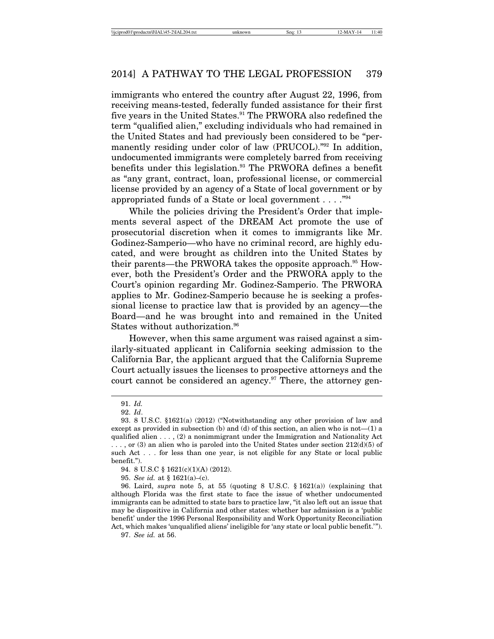immigrants who entered the country after August 22, 1996, from receiving means-tested, federally funded assistance for their first five years in the United States.<sup>91</sup> The PRWORA also redefined the term "qualified alien," excluding individuals who had remained in the United States and had previously been considered to be "permanently residing under color of law (PRUCOL)."<sup>92</sup> In addition, undocumented immigrants were completely barred from receiving benefits under this legislation.<sup>93</sup> The PRWORA defines a benefit as "any grant, contract, loan, professional license, or commercial license provided by an agency of a State of local government or by appropriated funds of a State or local government . . . ."94

While the policies driving the President's Order that implements several aspect of the DREAM Act promote the use of prosecutorial discretion when it comes to immigrants like Mr. Godinez-Samperio—who have no criminal record, are highly educated, and were brought as children into the United States by their parents—the PRWORA takes the opposite approach.<sup>95</sup> However, both the President's Order and the PRWORA apply to the Court's opinion regarding Mr. Godinez-Samperio. The PRWORA applies to Mr. Godinez-Samperio because he is seeking a professional license to practice law that is provided by an agency—the Board—and he was brought into and remained in the United States without authorization.<sup>96</sup>

However, when this same argument was raised against a similarly-situated applicant in California seeking admission to the California Bar, the applicant argued that the California Supreme Court actually issues the licenses to prospective attorneys and the court cannot be considered an agency.<sup>97</sup> There, the attorney gen-

<sup>91.</sup> *Id.*

<sup>92.</sup> *Id*.

<sup>93. 8</sup> U.S.C. §1621(a) (2012) ("Notwithstanding any other provision of law and except as provided in subsection (b) and (d) of this section, an alien who is not  $-(1)$  a qualified alien . . . , (2) a nonimmigrant under the Immigration and Nationality Act  $\ldots$ , or (3) an alien who is paroled into the United States under section 212(d)(5) of such Act . . . for less than one year, is not eligible for any State or local public benefit.").

<sup>94. 8</sup> U.S.C § 1621(c)(1)(A) (2012).

<sup>95.</sup> *See id.* at § 1621(a)–(c).

<sup>96.</sup> Laird, *supra* note 5, at 55 (quoting 8 U.S.C. § 1621(a)) (explaining that although Florida was the first state to face the issue of whether undocumented immigrants can be admitted to state bars to practice law, "it also left out an issue that may be dispositive in California and other states: whether bar admission is a 'public benefit' under the 1996 Personal Responsibility and Work Opportunity Reconciliation Act, which makes 'unqualified aliens' ineligible for 'any state or local public benefit.'").

<sup>97.</sup> *See id.* at 56.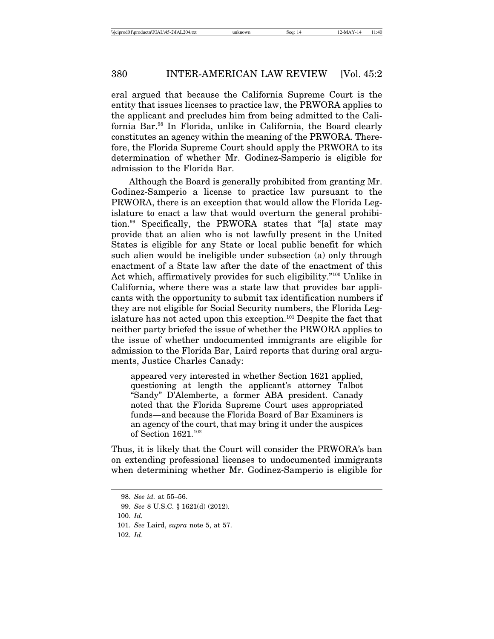eral argued that because the California Supreme Court is the entity that issues licenses to practice law, the PRWORA applies to the applicant and precludes him from being admitted to the California Bar.98 In Florida, unlike in California, the Board clearly constitutes an agency within the meaning of the PRWORA. Therefore, the Florida Supreme Court should apply the PRWORA to its determination of whether Mr. Godinez-Samperio is eligible for admission to the Florida Bar.

Although the Board is generally prohibited from granting Mr. Godinez-Samperio a license to practice law pursuant to the PRWORA, there is an exception that would allow the Florida Legislature to enact a law that would overturn the general prohibition.99 Specifically, the PRWORA states that "[a] state may provide that an alien who is not lawfully present in the United States is eligible for any State or local public benefit for which such alien would be ineligible under subsection (a) only through enactment of a State law after the date of the enactment of this Act which, affirmatively provides for such eligibility."100 Unlike in California, where there was a state law that provides bar applicants with the opportunity to submit tax identification numbers if they are not eligible for Social Security numbers, the Florida Legislature has not acted upon this exception.101 Despite the fact that neither party briefed the issue of whether the PRWORA applies to the issue of whether undocumented immigrants are eligible for admission to the Florida Bar, Laird reports that during oral arguments, Justice Charles Canady:

appeared very interested in whether Section 1621 applied, questioning at length the applicant's attorney Talbot "Sandy" D'Alemberte, a former ABA president. Canady noted that the Florida Supreme Court uses appropriated funds—and because the Florida Board of Bar Examiners is an agency of the court, that may bring it under the auspices of Section 1621.102

Thus, it is likely that the Court will consider the PRWORA's ban on extending professional licenses to undocumented immigrants when determining whether Mr. Godinez-Samperio is eligible for

102. *Id*.

<sup>98.</sup> *See id.* at 55–56.

<sup>99.</sup> *See* 8 U.S.C. § 1621(d) (2012).

<sup>100.</sup> *Id.*

<sup>101.</sup> *See* Laird, *supra* note 5, at 57.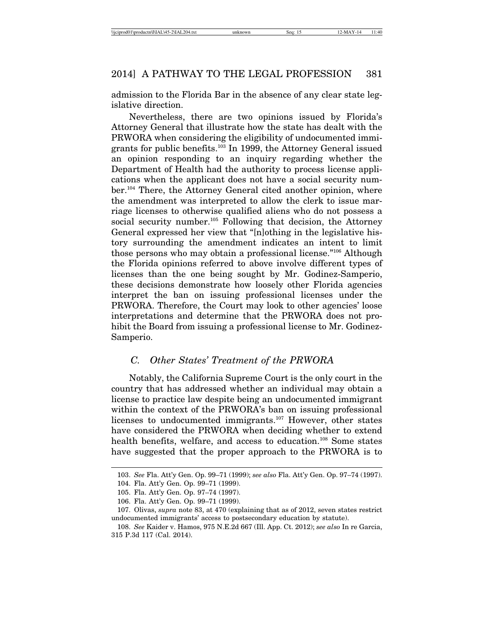admission to the Florida Bar in the absence of any clear state legislative direction.

Nevertheless, there are two opinions issued by Florida's Attorney General that illustrate how the state has dealt with the PRWORA when considering the eligibility of undocumented immigrants for public benefits.103 In 1999, the Attorney General issued an opinion responding to an inquiry regarding whether the Department of Health had the authority to process license applications when the applicant does not have a social security number.104 There, the Attorney General cited another opinion, where the amendment was interpreted to allow the clerk to issue marriage licenses to otherwise qualified aliens who do not possess a social security number.<sup>105</sup> Following that decision, the Attorney General expressed her view that "[n]othing in the legislative history surrounding the amendment indicates an intent to limit those persons who may obtain a professional license."106 Although the Florida opinions referred to above involve different types of licenses than the one being sought by Mr. Godinez-Samperio, these decisions demonstrate how loosely other Florida agencies interpret the ban on issuing professional licenses under the PRWORA. Therefore, the Court may look to other agencies' loose interpretations and determine that the PRWORA does not prohibit the Board from issuing a professional license to Mr. Godinez-Samperio.

## *C. Other States' Treatment of the PRWORA*

Notably, the California Supreme Court is the only court in the country that has addressed whether an individual may obtain a license to practice law despite being an undocumented immigrant within the context of the PRWORA's ban on issuing professional licenses to undocumented immigrants.<sup>107</sup> However, other states have considered the PRWORA when deciding whether to extend health benefits, welfare, and access to education.<sup>108</sup> Some states have suggested that the proper approach to the PRWORA is to

<sup>103.</sup> *See* Fla. Att'y Gen. Op. 99–71 (1999); *see also* Fla. Att'y Gen. Op. 97–74 (1997).

<sup>104.</sup> Fla. Att'y Gen. Op. 99–71 (1999).

<sup>105.</sup> Fla. Att'y Gen. Op. 97–74 (1997).

<sup>106.</sup> Fla. Att'y Gen. Op. 99–71 (1999).

<sup>107.</sup> Olivas, *supra* note 83, at 470 (explaining that as of 2012, seven states restrict undocumented immigrants' access to postsecondary education by statute).

<sup>108.</sup> *See* Kaider v. Hamos, 975 N.E.2d 667 (Ill. App. Ct. 2012); *see also* In re Garcia, 315 P.3d 117 (Cal. 2014).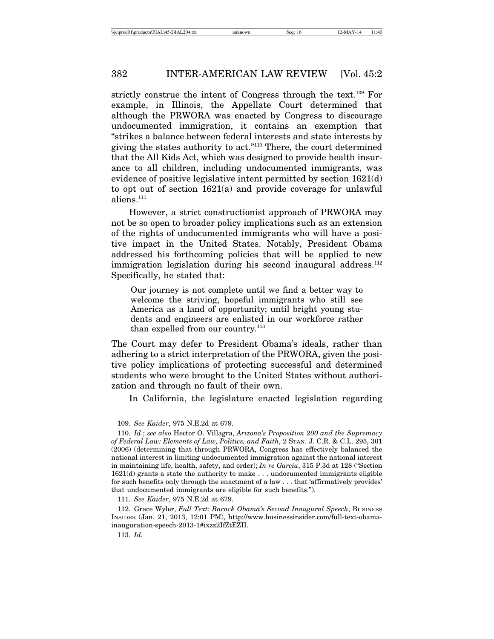strictly construe the intent of Congress through the text.<sup>109</sup> For example, in Illinois, the Appellate Court determined that although the PRWORA was enacted by Congress to discourage undocumented immigration, it contains an exemption that "strikes a balance between federal interests and state interests by giving the states authority to act."110 There, the court determined that the All Kids Act, which was designed to provide health insurance to all children, including undocumented immigrants, was evidence of positive legislative intent permitted by section 1621(d) to opt out of section 1621(a) and provide coverage for unlawful aliens.<sup>111</sup>

However, a strict constructionist approach of PRWORA may not be so open to broader policy implications such as an extension of the rights of undocumented immigrants who will have a positive impact in the United States. Notably, President Obama addressed his forthcoming policies that will be applied to new immigration legislation during his second inaugural address.<sup>112</sup> Specifically, he stated that:

Our journey is not complete until we find a better way to welcome the striving, hopeful immigrants who still see America as a land of opportunity; until bright young students and engineers are enlisted in our workforce rather than expelled from our country.<sup>113</sup>

The Court may defer to President Obama's ideals, rather than adhering to a strict interpretation of the PRWORA, given the positive policy implications of protecting successful and determined students who were brought to the United States without authorization and through no fault of their own.

In California, the legislature enacted legislation regarding

<sup>109.</sup> *See Kaider*, 975 N.E.2d at 679.

<sup>110.</sup> *Id*.; *see also* Hector O. Villagra, *Arizona's Proposition 200 and the Supremacy of Federal Law: Elements of Law, Politics, and Faith*, 2 STAN. J. C.R. & C.L. 295, 301 (2006) (determining that through PRWORA, Congress has effectively balanced the national interest in limiting undocumented immigration against the national interest in maintaining life, health, safety, and order); *In re Garcia*, 315 P.3d at 128 ("Section 1621(d) grants a state the authority to make . . . undocumented immigrants eligible for such benefits only through the enactment of a law . . . that 'affirmatively provides' that undocumented immigrants are eligible for such benefits.").

<sup>111.</sup> *See Kaider*, 975 N.E.2d at 679.

<sup>112.</sup> Grace Wyler, *Full Text: Barack Obama's Second Inaugural Speech*, BUSINESS INSIDER (Jan. 21, 2013, 12:01 PM), http://www.businessinsider.com/full-text-obamainauguration-speech-2013-1#ixzz2IfZtEZII.

<sup>113.</sup> *Id.*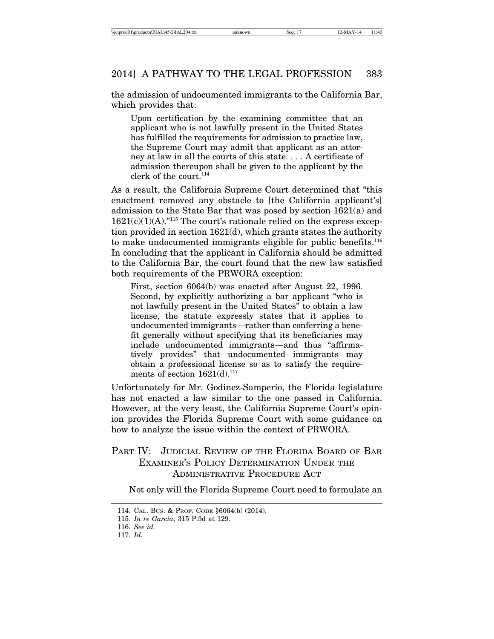the admission of undocumented immigrants to the California Bar, which provides that:

Upon certification by the examining committee that an applicant who is not lawfully present in the United States has fulfilled the requirements for admission to practice law, the Supreme Court may admit that applicant as an attorney at law in all the courts of this state. . . . A certificate of admission thereupon shall be given to the applicant by the clerk of the court.<sup>114</sup>

As a result, the California Supreme Court determined that "this enactment removed any obstacle to [the California applicant's] admission to the State Bar that was posed by section 1621(a) and  $1621(c)(1)(A).$ "<sup>115</sup> The court's rationale relied on the express exception provided in section 1621(d), which grants states the authority to make undocumented immigrants eligible for public benefits.<sup>116</sup> In concluding that the applicant in California should be admitted to the California Bar, the court found that the new law satisfied both requirements of the PRWORA exception:

First, section 6064(b) was enacted after August 22, 1996. Second, by explicitly authorizing a bar applicant "who is not lawfully present in the United States" to obtain a law license, the statute expressly states that it applies to undocumented immigrants—rather than conferring a benefit generally without specifying that its beneficiaries may include undocumented immigrants—and thus "affirmatively provides" that undocumented immigrants may obtain a professional license so as to satisfy the requirements of section  $1621(d).^{117}$ 

Unfortunately for Mr. Godinez-Samperio, the Florida legislature has not enacted a law similar to the one passed in California. However, at the very least, the California Supreme Court's opinion provides the Florida Supreme Court with some guidance on how to analyze the issue within the context of PRWORA.

# PART IV: JUDICIAL REVIEW OF THE FLORIDA BOARD OF BAR EXAMINER'S POLICY DETERMINATION UNDER THE ADMINISTRATIVE PROCEDURE ACT

Not only will the Florida Supreme Court need to formulate an

<sup>114.</sup> CAL. BUS. & PROF. CODE §6064(b) (2014).

<sup>115.</sup> *In re Garcia*, 315 P.3d at 129.

<sup>116.</sup> *See id.*

<sup>117.</sup> *Id.*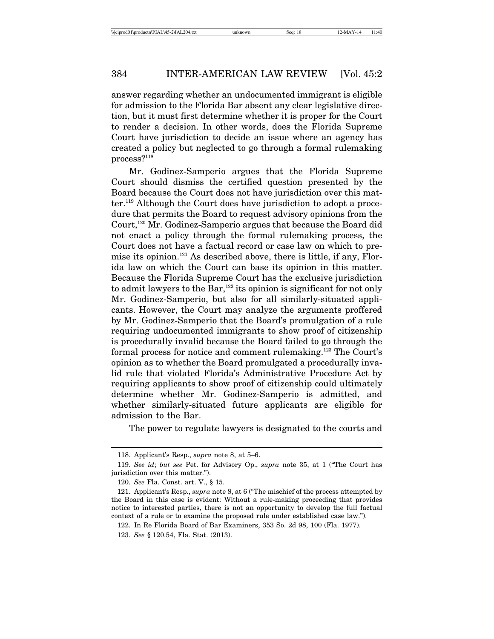answer regarding whether an undocumented immigrant is eligible for admission to the Florida Bar absent any clear legislative direction, but it must first determine whether it is proper for the Court to render a decision. In other words, does the Florida Supreme Court have jurisdiction to decide an issue where an agency has created a policy but neglected to go through a formal rulemaking process?118

Mr. Godinez-Samperio argues that the Florida Supreme Court should dismiss the certified question presented by the Board because the Court does not have jurisdiction over this matter.119 Although the Court does have jurisdiction to adopt a procedure that permits the Board to request advisory opinions from the Court,<sup>120</sup> Mr. Godinez-Samperio argues that because the Board did not enact a policy through the formal rulemaking process, the Court does not have a factual record or case law on which to premise its opinion.<sup>121</sup> As described above, there is little, if any, Florida law on which the Court can base its opinion in this matter. Because the Florida Supreme Court has the exclusive jurisdiction to admit lawyers to the Bar, $122$  its opinion is significant for not only Mr. Godinez-Samperio, but also for all similarly-situated applicants. However, the Court may analyze the arguments proffered by Mr. Godinez-Samperio that the Board's promulgation of a rule requiring undocumented immigrants to show proof of citizenship is procedurally invalid because the Board failed to go through the formal process for notice and comment rulemaking.123 The Court's opinion as to whether the Board promulgated a procedurally invalid rule that violated Florida's Administrative Procedure Act by requiring applicants to show proof of citizenship could ultimately determine whether Mr. Godinez-Samperio is admitted, and whether similarly-situated future applicants are eligible for admission to the Bar.

The power to regulate lawyers is designated to the courts and

<sup>118.</sup> Applicant's Resp., *supra* note 8, at 5–6.

<sup>119.</sup> *See id*; *but see* Pet. for Advisory Op., *supra* note 35, at 1 ("The Court has jurisdiction over this matter.").

<sup>120.</sup> *See* Fla. Const. art. V., § 15.

<sup>121.</sup> Applicant's Resp., *supra* note 8, at 6 ("The mischief of the process attempted by the Board in this case is evident: Without a rule-making proceeding that provides notice to interested parties, there is not an opportunity to develop the full factual context of a rule or to examine the proposed rule under established case law.").

<sup>122.</sup> In Re Florida Board of Bar Examiners, 353 So. 2d 98, 100 (Fla. 1977).

<sup>123.</sup> *See* § 120.54, Fla. Stat. (2013).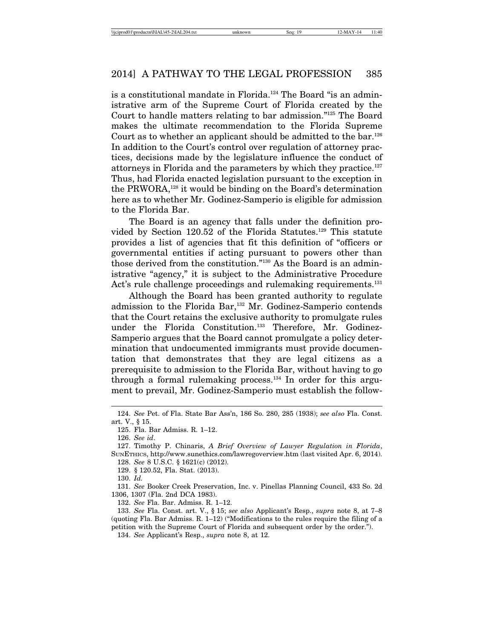is a constitutional mandate in Florida.<sup>124</sup> The Board "is an administrative arm of the Supreme Court of Florida created by the Court to handle matters relating to bar admission."125 The Board makes the ultimate recommendation to the Florida Supreme Court as to whether an applicant should be admitted to the bar.126 In addition to the Court's control over regulation of attorney practices, decisions made by the legislature influence the conduct of attorneys in Florida and the parameters by which they practice.127 Thus, had Florida enacted legislation pursuant to the exception in the PRWORA,<sup>128</sup> it would be binding on the Board's determination here as to whether Mr. Godinez-Samperio is eligible for admission to the Florida Bar.

The Board is an agency that falls under the definition provided by Section 120.52 of the Florida Statutes.<sup>129</sup> This statute provides a list of agencies that fit this definition of "officers or governmental entities if acting pursuant to powers other than those derived from the constitution."130 As the Board is an administrative "agency," it is subject to the Administrative Procedure Act's rule challenge proceedings and rulemaking requirements.<sup>131</sup>

Although the Board has been granted authority to regulate admission to the Florida Bar,<sup>132</sup> Mr. Godinez-Samperio contends that the Court retains the exclusive authority to promulgate rules under the Florida Constitution.<sup>133</sup> Therefore, Mr. Godinez-Samperio argues that the Board cannot promulgate a policy determination that undocumented immigrants must provide documentation that demonstrates that they are legal citizens as a prerequisite to admission to the Florida Bar, without having to go through a formal rulemaking process. $134$  In order for this argument to prevail, Mr. Godinez-Samperio must establish the follow-

126. *See id*.

130. *Id.*

132. *See* Fla. Bar. Admiss. R. 1–12.

133. *See* Fla. Const. art. V., § 15; *see also* Applicant's Resp., *supra* note 8, at 7–8 (quoting Fla. Bar Admiss. R. 1–12) ("Modifications to the rules require the filing of a petition with the Supreme Court of Florida and subsequent order by the order.").

134. *See* Applicant's Resp., *supra* note 8, at 12.

<sup>124.</sup> *See* Pet. of Fla. State Bar Ass'n, 186 So. 280, 285 (1938); *see also* Fla. Const. art. V., § 15.

<sup>125.</sup> Fla. Bar Admiss. R. 1–12.

<sup>127.</sup> Timothy P. Chinaris, *A Brief Overview of Lawyer Regulation in Florida*, SUNETHICS, http://www.sunethics.com/lawregoverview.htm (last visited Apr. 6, 2014). 128. *See* 8 U.S.C. § 1621(c) (2012).

<sup>129. § 120.52,</sup> Fla. Stat. (2013).

<sup>131.</sup> *See* Booker Creek Preservation, Inc. v. Pinellas Planning Council, 433 So. 2d 1306, 1307 (Fla. 2nd DCA 1983).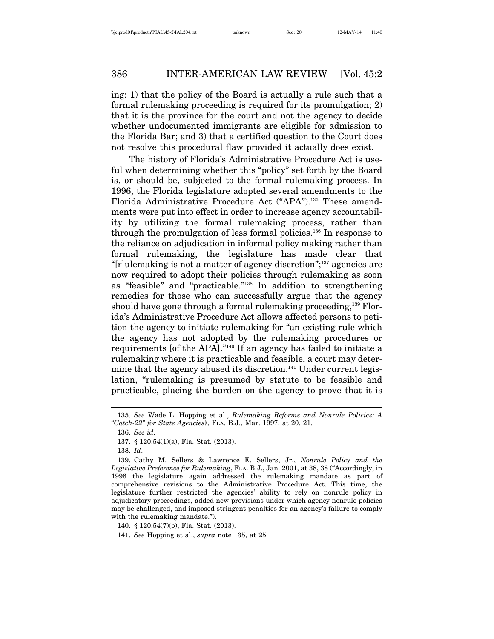ing: 1) that the policy of the Board is actually a rule such that a formal rulemaking proceeding is required for its promulgation; 2) that it is the province for the court and not the agency to decide whether undocumented immigrants are eligible for admission to the Florida Bar; and 3) that a certified question to the Court does not resolve this procedural flaw provided it actually does exist.

The history of Florida's Administrative Procedure Act is useful when determining whether this "policy" set forth by the Board is, or should be, subjected to the formal rulemaking process. In 1996, the Florida legislature adopted several amendments to the Florida Administrative Procedure Act ("APA").135 These amendments were put into effect in order to increase agency accountability by utilizing the formal rulemaking process, rather than through the promulgation of less formal policies.136 In response to the reliance on adjudication in informal policy making rather than formal rulemaking, the legislature has made clear that "[r]ulemaking is not a matter of agency discretion";137 agencies are now required to adopt their policies through rulemaking as soon as "feasible" and "practicable."138 In addition to strengthening remedies for those who can successfully argue that the agency should have gone through a formal rulemaking proceeding,<sup>139</sup> Florida's Administrative Procedure Act allows affected persons to petition the agency to initiate rulemaking for "an existing rule which the agency has not adopted by the rulemaking procedures or requirements [of the APA]."140 If an agency has failed to initiate a rulemaking where it is practicable and feasible, a court may determine that the agency abused its discretion.<sup>141</sup> Under current legislation, "rulemaking is presumed by statute to be feasible and practicable, placing the burden on the agency to prove that it is

<sup>135.</sup> *See* Wade L. Hopping et al., *Rulemaking Reforms and Nonrule Policies: A "Catch-22" for State Agencies?*, FLA. B.J., Mar. 1997, at 20, 21.

<sup>136.</sup> *See id*.

<sup>137. § 120.54(1)(</sup>a), Fla. Stat. (2013).

<sup>138.</sup> *Id*.

<sup>139.</sup> Cathy M. Sellers & Lawrence E. Sellers, Jr., *Nonrule Policy and the Legislative Preference for Rulemaking*, FLA. B.J., Jan. 2001, at 38, 38 ("Accordingly, in 1996 the legislature again addressed the rulemaking mandate as part of comprehensive revisions to the Administrative Procedure Act. This time, the legislature further restricted the agencies' ability to rely on nonrule policy in adjudicatory proceedings, added new provisions under which agency nonrule policies may be challenged, and imposed stringent penalties for an agency's failure to comply with the rulemaking mandate.").

<sup>140. § 120.54(7)(</sup>b), Fla. Stat. (2013).

<sup>141.</sup> *See* Hopping et al., *supra* note 135, at 25.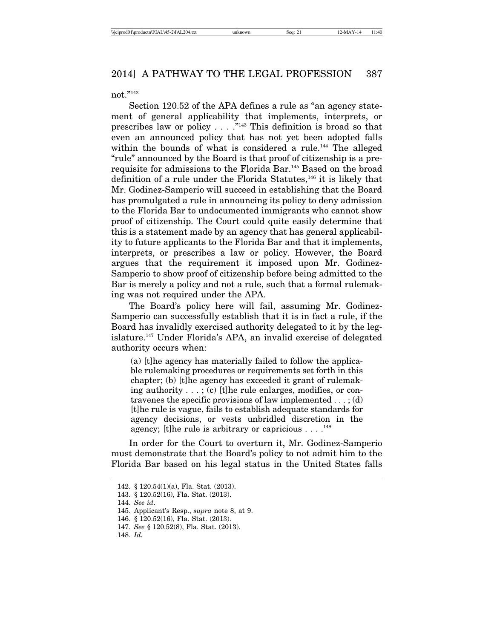not."142

Section 120.52 of the APA defines a rule as "an agency statement of general applicability that implements, interprets, or prescribes law or policy . . . ."143 This definition is broad so that even an announced policy that has not yet been adopted falls within the bounds of what is considered a rule.<sup>144</sup> The alleged "rule" announced by the Board is that proof of citizenship is a prerequisite for admissions to the Florida Bar.145 Based on the broad definition of a rule under the Florida Statutes,<sup>146</sup> it is likely that Mr. Godinez-Samperio will succeed in establishing that the Board has promulgated a rule in announcing its policy to deny admission to the Florida Bar to undocumented immigrants who cannot show proof of citizenship. The Court could quite easily determine that this is a statement made by an agency that has general applicability to future applicants to the Florida Bar and that it implements, interprets, or prescribes a law or policy. However, the Board argues that the requirement it imposed upon Mr. Godinez-Samperio to show proof of citizenship before being admitted to the Bar is merely a policy and not a rule, such that a formal rulemaking was not required under the APA.

The Board's policy here will fail, assuming Mr. Godinez-Samperio can successfully establish that it is in fact a rule, if the Board has invalidly exercised authority delegated to it by the legislature.147 Under Florida's APA, an invalid exercise of delegated authority occurs when:

(a) [t]he agency has materially failed to follow the applicable rulemaking procedures or requirements set forth in this chapter; (b) [t]he agency has exceeded it grant of rulemaking authority . . . ; (c) [t]he rule enlarges, modifies, or contravenes the specific provisions of law implemented  $\dots$ ; (d) [t]he rule is vague, fails to establish adequate standards for agency decisions, or vests unbridled discretion in the agency; [t]he rule is arbitrary or capricious  $\dots$ .<sup>148</sup>

In order for the Court to overturn it, Mr. Godinez-Samperio must demonstrate that the Board's policy to not admit him to the Florida Bar based on his legal status in the United States falls

<sup>142. § 120.54(1)(</sup>a), Fla. Stat. (2013).

<sup>143. § 120.52(16),</sup> Fla. Stat. (2013).

<sup>144.</sup> *See id*.

<sup>145.</sup> Applicant's Resp., *supra* note 8, at 9.

<sup>146. § 120.52(16),</sup> Fla. Stat. (2013).

<sup>147.</sup> *See* § 120.52(8), Fla. Stat. (2013).

<sup>148.</sup> *Id.*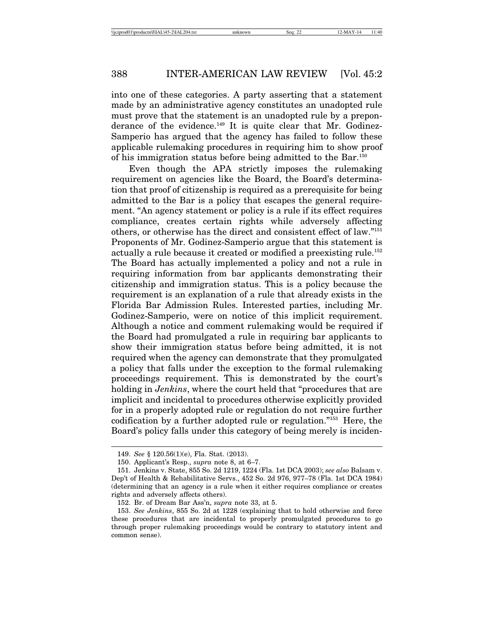into one of these categories. A party asserting that a statement made by an administrative agency constitutes an unadopted rule must prove that the statement is an unadopted rule by a preponderance of the evidence.<sup>149</sup> It is quite clear that Mr. Godinez-Samperio has argued that the agency has failed to follow these applicable rulemaking procedures in requiring him to show proof of his immigration status before being admitted to the Bar.150

Even though the APA strictly imposes the rulemaking requirement on agencies like the Board, the Board's determination that proof of citizenship is required as a prerequisite for being admitted to the Bar is a policy that escapes the general requirement. "An agency statement or policy is a rule if its effect requires compliance, creates certain rights while adversely affecting others, or otherwise has the direct and consistent effect of law."151 Proponents of Mr. Godinez-Samperio argue that this statement is actually a rule because it created or modified a preexisting rule.152 The Board has actually implemented a policy and not a rule in requiring information from bar applicants demonstrating their citizenship and immigration status. This is a policy because the requirement is an explanation of a rule that already exists in the Florida Bar Admission Rules. Interested parties, including Mr. Godinez-Samperio, were on notice of this implicit requirement. Although a notice and comment rulemaking would be required if the Board had promulgated a rule in requiring bar applicants to show their immigration status before being admitted, it is not required when the agency can demonstrate that they promulgated a policy that falls under the exception to the formal rulemaking proceedings requirement. This is demonstrated by the court's holding in *Jenkins*, where the court held that "procedures that are implicit and incidental to procedures otherwise explicitly provided for in a properly adopted rule or regulation do not require further codification by a further adopted rule or regulation."153 Here, the Board's policy falls under this category of being merely is inciden-

<sup>149.</sup> *See* § 120.56(1)(e), Fla. Stat. (2013).

<sup>150.</sup> Applicant's Resp., *supra* note 8, at 6–7.

<sup>151.</sup> Jenkins v. State, 855 So. 2d 1219, 1224 (Fla. 1st DCA 2003); *see also* Balsam v. Dep't of Health & Rehabilitative Servs., 452 So. 2d 976, 977–78 (Fla. 1st DCA 1984) (determining that an agency is a rule when it either requires compliance or creates rights and adversely affects others).

<sup>152.</sup> Br. of Dream Bar Ass'n, *supra* note 33, at 5.

<sup>153.</sup> *See Jenkins*, 855 So. 2d at 1228 (explaining that to hold otherwise and force these procedures that are incidental to properly promulgated procedures to go through proper rulemaking proceedings would be contrary to statutory intent and common sense).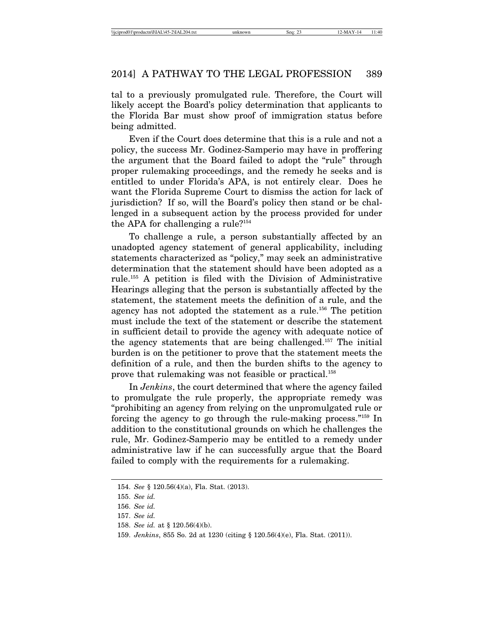tal to a previously promulgated rule. Therefore, the Court will likely accept the Board's policy determination that applicants to the Florida Bar must show proof of immigration status before being admitted.

Even if the Court does determine that this is a rule and not a policy, the success Mr. Godinez-Samperio may have in proffering the argument that the Board failed to adopt the "rule" through proper rulemaking proceedings, and the remedy he seeks and is entitled to under Florida's APA, is not entirely clear. Does he want the Florida Supreme Court to dismiss the action for lack of jurisdiction? If so, will the Board's policy then stand or be challenged in a subsequent action by the process provided for under the APA for challenging a rule?154

To challenge a rule, a person substantially affected by an unadopted agency statement of general applicability, including statements characterized as "policy," may seek an administrative determination that the statement should have been adopted as a rule.155 A petition is filed with the Division of Administrative Hearings alleging that the person is substantially affected by the statement, the statement meets the definition of a rule, and the agency has not adopted the statement as a rule.<sup>156</sup> The petition must include the text of the statement or describe the statement in sufficient detail to provide the agency with adequate notice of the agency statements that are being challenged.157 The initial burden is on the petitioner to prove that the statement meets the definition of a rule, and then the burden shifts to the agency to prove that rulemaking was not feasible or practical.158

In *Jenkins*, the court determined that where the agency failed to promulgate the rule properly, the appropriate remedy was "prohibiting an agency from relying on the unpromulgated rule or forcing the agency to go through the rule-making process."159 In addition to the constitutional grounds on which he challenges the rule, Mr. Godinez-Samperio may be entitled to a remedy under administrative law if he can successfully argue that the Board failed to comply with the requirements for a rulemaking.

<sup>154.</sup> *See* § 120.56(4)(a), Fla. Stat. (2013).

<sup>155.</sup> *See id.*

<sup>156.</sup> *See id.*

<sup>157.</sup> *See id.*

<sup>158.</sup> *See id.* at § 120.56(4)(b).

<sup>159.</sup> *Jenkins*, 855 So. 2d at 1230 (citing § 120.56(4)(e), Fla. Stat. (2011)).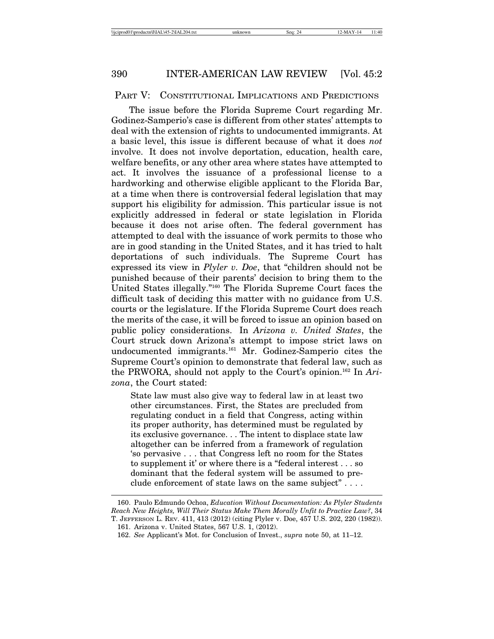#### PART V: CONSTITUTIONAL IMPLICATIONS AND PREDICTIONS

The issue before the Florida Supreme Court regarding Mr. Godinez-Samperio's case is different from other states' attempts to deal with the extension of rights to undocumented immigrants. At a basic level, this issue is different because of what it does *not* involve. It does not involve deportation, education, health care, welfare benefits, or any other area where states have attempted to act. It involves the issuance of a professional license to a hardworking and otherwise eligible applicant to the Florida Bar, at a time when there is controversial federal legislation that may support his eligibility for admission. This particular issue is not explicitly addressed in federal or state legislation in Florida because it does not arise often. The federal government has attempted to deal with the issuance of work permits to those who are in good standing in the United States, and it has tried to halt deportations of such individuals. The Supreme Court has expressed its view in *Plyler v. Doe*, that "children should not be punished because of their parents' decision to bring them to the United States illegally."160 The Florida Supreme Court faces the difficult task of deciding this matter with no guidance from U.S. courts or the legislature. If the Florida Supreme Court does reach the merits of the case, it will be forced to issue an opinion based on public policy considerations. In *Arizona v. United States*, the Court struck down Arizona's attempt to impose strict laws on undocumented immigrants.161 Mr. Godinez-Samperio cites the Supreme Court's opinion to demonstrate that federal law, such as the PRWORA, should not apply to the Court's opinion.162 In *Arizona*, the Court stated:

State law must also give way to federal law in at least two other circumstances. First, the States are precluded from regulating conduct in a field that Congress, acting within its proper authority, has determined must be regulated by its exclusive governance. . . The intent to displace state law altogether can be inferred from a framework of regulation 'so pervasive . . . that Congress left no room for the States to supplement it' or where there is a "federal interest . . . so dominant that the federal system will be assumed to preclude enforcement of state laws on the same subject" . . . .

<sup>160.</sup> Paulo Edmundo Ochoa, *Education Without Documentation: As Plyler Students Reach New Heights, Will Their Status Make Them Morally Unfit to Practice Law?*, 34 T. JEFFERSON L. REV. 411, 413 (2012) (citing Plyler v. Doe, 457 U.S. 202, 220 (1982)). 161. Arizona v. United States, 567 U.S. 1, (2012).

<sup>162.</sup> *See* Applicant's Mot. for Conclusion of Invest., *supra* note 50, at 11–12.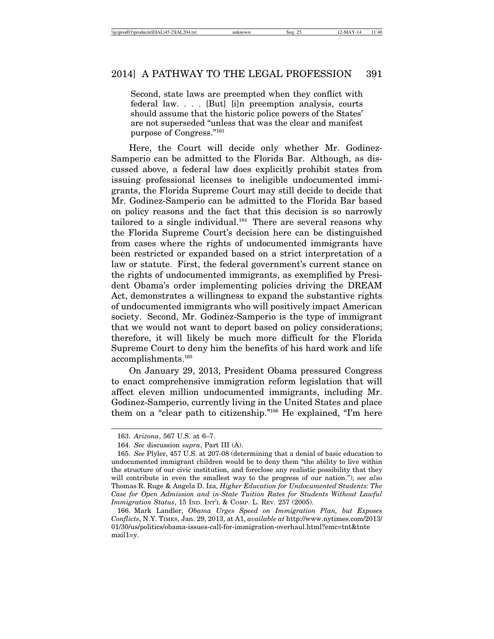Second, state laws are preempted when they conflict with federal law. . . . [But] [i]n preemption analysis, courts should assume that the historic police powers of the States' are not superseded "unless that was the clear and manifest purpose of Congress."163

Here, the Court will decide only whether Mr. Godinez-Samperio can be admitted to the Florida Bar. Although, as discussed above, a federal law does explicitly prohibit states from issuing professional licenses to ineligible undocumented immigrants, the Florida Supreme Court may still decide to decide that Mr. Godinez-Samperio can be admitted to the Florida Bar based on policy reasons and the fact that this decision is so narrowly tailored to a single individual.<sup>164</sup> There are several reasons why the Florida Supreme Court's decision here can be distinguished from cases where the rights of undocumented immigrants have been restricted or expanded based on a strict interpretation of a law or statute. First, the federal government's current stance on the rights of undocumented immigrants, as exemplified by President Obama's order implementing policies driving the DREAM Act, demonstrates a willingness to expand the substantive rights of undocumented immigrants who will positively impact American society. Second, Mr. Godinez-Samperio is the type of immigrant that we would not want to deport based on policy considerations; therefore, it will likely be much more difficult for the Florida Supreme Court to deny him the benefits of his hard work and life accomplishments.165

On January 29, 2013, President Obama pressured Congress to enact comprehensive immigration reform legislation that will affect eleven million undocumented immigrants, including Mr. Godinez-Samperio, currently living in the United States and place them on a "clear path to citizenship."166 He explained, "I'm here

<sup>163.</sup> *Arizona*, 567 U.S. at 6–7.

<sup>164.</sup> *See* discussion *supra*, Part III (A).

<sup>165.</sup> *See* Plyler, 457 U.S. at 207-08 (determining that a denial of basic education to undocumented immigrant children would be to deny them "the ability to live within the structure of our civic institution, and foreclose any realistic possibility that they will contribute in even the smallest way to the progress of our nation."); *see also* Thomas R. Ruge & Angela D. Iza, *Higher Education for Undocumented Students: The Case for Open Admission and in-State Tuition Rates for Students Without Lawful Immigration Status*, 15 IND. INT'L & COMP. L. REV. 257 (2005).

<sup>166.</sup> Mark Landler, *Obama Urges Speed on Immigration Plan, but Exposes Conflicts*, N.Y. TIMES, Jan. 29, 2013, at A1, *available at* http://www.nytimes.com/2013/ 01/30/us/politics/obama-issues-call-for-immigration-overhaul.html?emc=tnt&tnte mail1=y.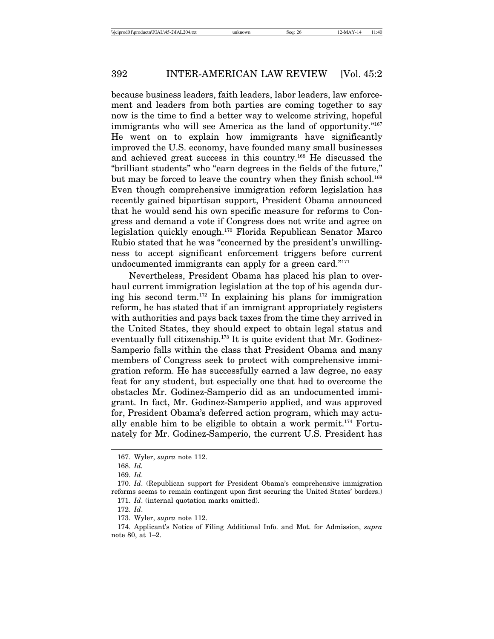because business leaders, faith leaders, labor leaders, law enforcement and leaders from both parties are coming together to say now is the time to find a better way to welcome striving, hopeful immigrants who will see America as the land of opportunity."<sup>167</sup> He went on to explain how immigrants have significantly improved the U.S. economy, have founded many small businesses and achieved great success in this country.168 He discussed the "brilliant students" who "earn degrees in the fields of the future," but may be forced to leave the country when they finish school.<sup>169</sup> Even though comprehensive immigration reform legislation has recently gained bipartisan support, President Obama announced that he would send his own specific measure for reforms to Congress and demand a vote if Congress does not write and agree on legislation quickly enough.170 Florida Republican Senator Marco Rubio stated that he was "concerned by the president's unwillingness to accept significant enforcement triggers before current undocumented immigrants can apply for a green card."171

Nevertheless, President Obama has placed his plan to overhaul current immigration legislation at the top of his agenda during his second term.172 In explaining his plans for immigration reform, he has stated that if an immigrant appropriately registers with authorities and pays back taxes from the time they arrived in the United States, they should expect to obtain legal status and eventually full citizenship.<sup>173</sup> It is quite evident that Mr. Godinez-Samperio falls within the class that President Obama and many members of Congress seek to protect with comprehensive immigration reform. He has successfully earned a law degree, no easy feat for any student, but especially one that had to overcome the obstacles Mr. Godinez-Samperio did as an undocumented immigrant. In fact, Mr. Godinez-Samperio applied, and was approved for, President Obama's deferred action program, which may actually enable him to be eligible to obtain a work permit.<sup>174</sup> Fortunately for Mr. Godinez-Samperio, the current U.S. President has

<sup>167.</sup> Wyler, *supra* note 112.

<sup>168.</sup> *Id.*

<sup>169.</sup> *Id*.

<sup>170.</sup> *Id*. (Republican support for President Obama's comprehensive immigration reforms seems to remain contingent upon first securing the United States' borders.) 171. *Id*. (internal quotation marks omitted).

<sup>172.</sup> *Id*.

<sup>173.</sup> Wyler, *supra* note 112.

<sup>174.</sup> Applicant's Notice of Filing Additional Info. and Mot. for Admission, *supra* note 80, at 1–2.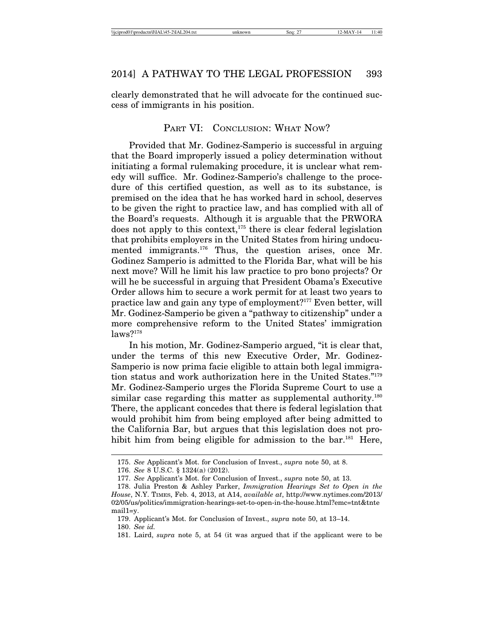clearly demonstrated that he will advocate for the continued success of immigrants in his position.

# PART VI: CONCLUSION: WHAT NOW?

Provided that Mr. Godinez-Samperio is successful in arguing that the Board improperly issued a policy determination without initiating a formal rulemaking procedure, it is unclear what remedy will suffice. Mr. Godinez-Samperio's challenge to the procedure of this certified question, as well as to its substance, is premised on the idea that he has worked hard in school, deserves to be given the right to practice law, and has complied with all of the Board's requests. Although it is arguable that the PRWORA does not apply to this context,<sup>175</sup> there is clear federal legislation that prohibits employers in the United States from hiring undocumented immigrants.<sup>176</sup> Thus, the question arises, once Mr. Godinez Samperio is admitted to the Florida Bar, what will be his next move? Will he limit his law practice to pro bono projects? Or will he be successful in arguing that President Obama's Executive Order allows him to secure a work permit for at least two years to practice law and gain any type of employment?177 Even better, will Mr. Godinez-Samperio be given a "pathway to citizenship" under a more comprehensive reform to the United States' immigration  $laws?$ <sup>178</sup>

In his motion, Mr. Godinez-Samperio argued, "it is clear that, under the terms of this new Executive Order, Mr. Godinez-Samperio is now prima facie eligible to attain both legal immigration status and work authorization here in the United States."179 Mr. Godinez-Samperio urges the Florida Supreme Court to use a similar case regarding this matter as supplemental authority.<sup>180</sup> There, the applicant concedes that there is federal legislation that would prohibit him from being employed after being admitted to the California Bar, but argues that this legislation does not prohibit him from being eligible for admission to the bar.<sup>181</sup> Here,

<sup>175.</sup> *See* Applicant's Mot. for Conclusion of Invest., *supra* note 50, at 8.

<sup>176.</sup> *See* 8 U.S.C. § 1324(a) (2012).

<sup>177.</sup> *See* Applicant's Mot. for Conclusion of Invest., *supra* note 50, at 13.

<sup>178.</sup> Julia Preston & Ashley Parker, *Immigration Hearings Set to Open in the House*, N.Y. TIMES, Feb. 4, 2013, at A14, *available at*, http://www.nytimes.com/2013/ 02/05/us/politics/immigration-hearings-set-to-open-in-the-house.html?emc=tnt&tnte mail1=y.

<sup>179.</sup> Applicant's Mot. for Conclusion of Invest., *supra* note 50, at 13–14.

<sup>180.</sup> *See id.*

<sup>181.</sup> Laird, *supra* note 5, at 54 (it was argued that if the applicant were to be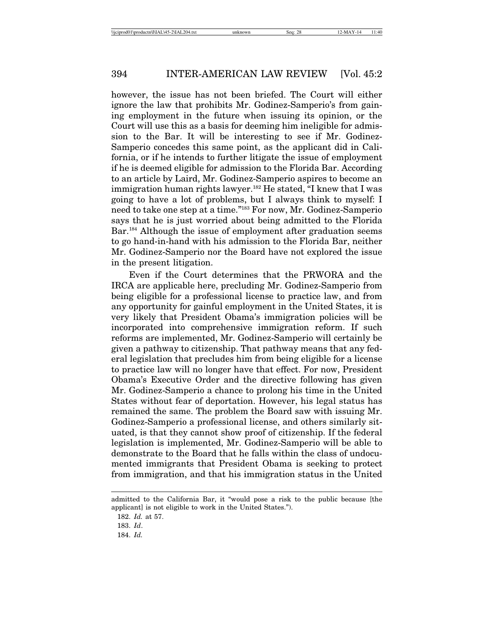however, the issue has not been briefed. The Court will either ignore the law that prohibits Mr. Godinez-Samperio's from gaining employment in the future when issuing its opinion, or the Court will use this as a basis for deeming him ineligible for admission to the Bar. It will be interesting to see if Mr. Godinez-Samperio concedes this same point, as the applicant did in California, or if he intends to further litigate the issue of employment if he is deemed eligible for admission to the Florida Bar. According to an article by Laird, Mr. Godinez-Samperio aspires to become an immigration human rights lawyer.<sup>182</sup> He stated, "I knew that I was going to have a lot of problems, but I always think to myself: I need to take one step at a time."183 For now, Mr. Godinez-Samperio says that he is just worried about being admitted to the Florida Bar.<sup>184</sup> Although the issue of employment after graduation seems to go hand-in-hand with his admission to the Florida Bar, neither Mr. Godinez-Samperio nor the Board have not explored the issue in the present litigation.

Even if the Court determines that the PRWORA and the IRCA are applicable here, precluding Mr. Godinez-Samperio from being eligible for a professional license to practice law, and from any opportunity for gainful employment in the United States, it is very likely that President Obama's immigration policies will be incorporated into comprehensive immigration reform. If such reforms are implemented, Mr. Godinez-Samperio will certainly be given a pathway to citizenship. That pathway means that any federal legislation that precludes him from being eligible for a license to practice law will no longer have that effect. For now, President Obama's Executive Order and the directive following has given Mr. Godinez-Samperio a chance to prolong his time in the United States without fear of deportation. However, his legal status has remained the same. The problem the Board saw with issuing Mr. Godinez-Samperio a professional license, and others similarly situated, is that they cannot show proof of citizenship. If the federal legislation is implemented, Mr. Godinez-Samperio will be able to demonstrate to the Board that he falls within the class of undocumented immigrants that President Obama is seeking to protect from immigration, and that his immigration status in the United

admitted to the California Bar, it "would pose a risk to the public because [the applicant] is not eligible to work in the United States.").

<sup>182.</sup> *Id.* at 57.

<sup>183.</sup> *Id*.

<sup>184.</sup> *Id.*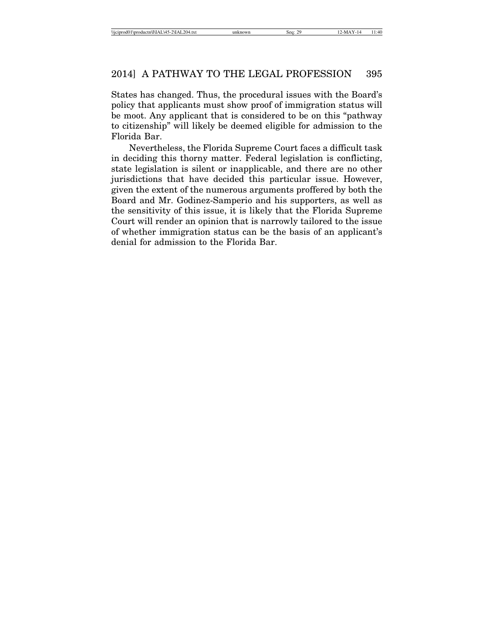States has changed. Thus, the procedural issues with the Board's policy that applicants must show proof of immigration status will be moot. Any applicant that is considered to be on this "pathway to citizenship" will likely be deemed eligible for admission to the Florida Bar.

Nevertheless, the Florida Supreme Court faces a difficult task in deciding this thorny matter. Federal legislation is conflicting, state legislation is silent or inapplicable, and there are no other jurisdictions that have decided this particular issue. However, given the extent of the numerous arguments proffered by both the Board and Mr. Godinez-Samperio and his supporters, as well as the sensitivity of this issue, it is likely that the Florida Supreme Court will render an opinion that is narrowly tailored to the issue of whether immigration status can be the basis of an applicant's denial for admission to the Florida Bar.